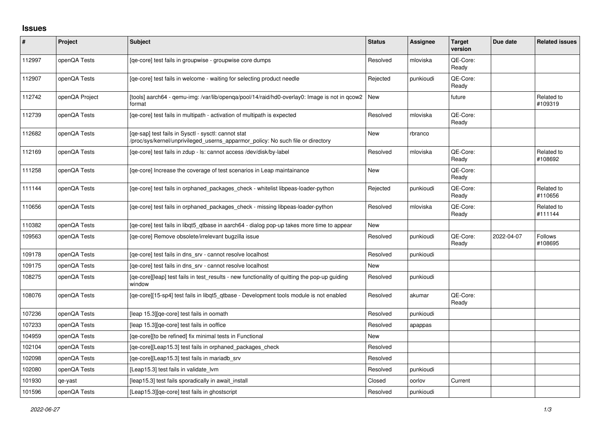## **Issues**

| #      | Project        | Subject                                                                                                                                | <b>Status</b> | <b>Assignee</b> | <b>Target</b><br>version | Due date   | <b>Related issues</b>     |
|--------|----------------|----------------------------------------------------------------------------------------------------------------------------------------|---------------|-----------------|--------------------------|------------|---------------------------|
| 112997 | openQA Tests   | [qe-core] test fails in groupwise - groupwise core dumps                                                                               | Resolved      | mloviska        | OE-Core:<br>Ready        |            |                           |
| 112907 | openQA Tests   | [ge-core] test fails in welcome - waiting for selecting product needle                                                                 | Rejected      | punkioudi       | QE-Core:<br>Ready        |            |                           |
| 112742 | openQA Project | [tools] aarch64 - qemu-img: /var/lib/openqa/pool/14/raid/hd0-overlay0: Image is not in qcow2<br>format                                 | New           |                 | future                   |            | Related to<br>#109319     |
| 112739 | openQA Tests   | [ge-core] test fails in multipath - activation of multipath is expected                                                                | Resolved      | mloviska        | QE-Core:<br>Ready        |            |                           |
| 112682 | openQA Tests   | [qe-sap] test fails in Sysctl - sysctl: cannot stat<br>/proc/sys/kernel/unprivileged_userns_apparmor_policy: No such file or directory | <b>New</b>    | rbranco         |                          |            |                           |
| 112169 | openQA Tests   | [ge-core] test fails in zdup - ls: cannot access /dev/disk/by-label                                                                    | Resolved      | mloviska        | QE-Core:<br>Ready        |            | Related to<br>#108692     |
| 111258 | openQA Tests   | [ge-core] Increase the coverage of test scenarios in Leap maintainance                                                                 | New           |                 | QE-Core:<br>Ready        |            |                           |
| 111144 | openQA Tests   | [qe-core] test fails in orphaned_packages_check - whitelist libpeas-loader-python                                                      | Rejected      | punkioudi       | QE-Core:<br>Ready        |            | Related to<br>#110656     |
| 110656 | openQA Tests   | [ge-core] test fails in orphaned packages check - missing libpeas-loader-python                                                        | Resolved      | mloviska        | QE-Core:<br>Ready        |            | Related to<br>#111144     |
| 110382 | openQA Tests   | [qe-core] test fails in libqt5_qtbase in aarch64 - dialog pop-up takes more time to appear                                             | <b>New</b>    |                 |                          |            |                           |
| 109563 | openQA Tests   | [ge-core] Remove obsolete/irrelevant bugzilla issue                                                                                    | Resolved      | punkioudi       | QE-Core:<br>Ready        | 2022-04-07 | <b>Follows</b><br>#108695 |
| 109178 | openQA Tests   | [qe-core] test fails in dns_srv - cannot resolve localhost                                                                             | Resolved      | punkioudi       |                          |            |                           |
| 109175 | openQA Tests   | [ge-core] test fails in dns srv - cannot resolve localhost                                                                             | New           |                 |                          |            |                           |
| 108275 | openQA Tests   | [qe-core][leap] test fails in test_results - new functionality of quitting the pop-up guiding<br>window                                | Resolved      | punkioudi       |                          |            |                           |
| 108076 | openQA Tests   | [ge-core][15-sp4] test fails in libgt5 gtbase - Development tools module is not enabled                                                | Resolved      | akumar          | QE-Core:<br>Ready        |            |                           |
| 107236 | openQA Tests   | [leap 15.3][qe-core] test fails in oomath                                                                                              | Resolved      | punkioudi       |                          |            |                           |
| 107233 | openQA Tests   | [leap 15.3][qe-core] test fails in ooffice                                                                                             | Resolved      | apappas         |                          |            |                           |
| 104959 | openQA Tests   | [qe-core][to be refined] fix minimal tests in Functional                                                                               | <b>New</b>    |                 |                          |            |                           |
| 102104 | openQA Tests   | [ge-core][Leap15.3] test fails in orphaned packages check                                                                              | Resolved      |                 |                          |            |                           |
| 102098 | openQA Tests   | [qe-core][Leap15.3] test fails in mariadb_srv                                                                                          | Resolved      |                 |                          |            |                           |
| 102080 | openQA Tests   | [Leap15.3] test fails in validate lvm                                                                                                  | Resolved      | punkioudi       |                          |            |                           |
| 101930 | qe-yast        | [leap15.3] test fails sporadically in await_install                                                                                    | Closed        | oorlov          | Current                  |            |                           |
| 101596 | openQA Tests   | [Leap15.3][qe-core] test fails in ghostscript                                                                                          | Resolved      | punkioudi       |                          |            |                           |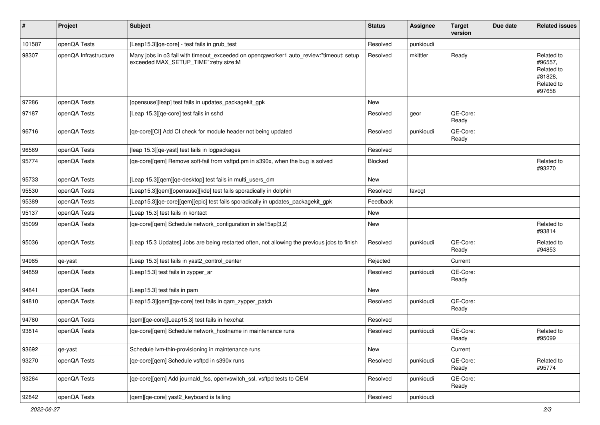| #      | Project               | Subject                                                                                                                          | <b>Status</b> | <b>Assignee</b> | <b>Target</b><br>version | Due date | <b>Related issues</b>                                                  |
|--------|-----------------------|----------------------------------------------------------------------------------------------------------------------------------|---------------|-----------------|--------------------------|----------|------------------------------------------------------------------------|
| 101587 | openQA Tests          | [Leap15.3][qe-core] - test fails in grub_test                                                                                    | Resolved      | punkioudi       |                          |          |                                                                        |
| 98307  | openQA Infrastructure | Many jobs in o3 fail with timeout_exceeded on openqaworker1 auto_review:"timeout: setup<br>exceeded MAX_SETUP_TIME":retry size:M | Resolved      | mkittler        | Ready                    |          | Related to<br>#96557,<br>Related to<br>#81828,<br>Related to<br>#97658 |
| 97286  | openQA Tests          | [opensuse][leap] test fails in updates_packagekit_gpk                                                                            | New           |                 |                          |          |                                                                        |
| 97187  | openQA Tests          | [Leap 15.3][qe-core] test fails in sshd                                                                                          | Resolved      | geor            | QE-Core:<br>Ready        |          |                                                                        |
| 96716  | openQA Tests          | [qe-core][CI] Add CI check for module header not being updated                                                                   | Resolved      | punkioudi       | QE-Core:<br>Ready        |          |                                                                        |
| 96569  | openQA Tests          | [leap 15.3][qe-yast] test fails in logpackages                                                                                   | Resolved      |                 |                          |          |                                                                        |
| 95774  | openQA Tests          | [qe-core][qem] Remove soft-fail from vsftpd.pm in s390x, when the bug is solved                                                  | Blocked       |                 |                          |          | Related to<br>#93270                                                   |
| 95733  | openQA Tests          | [Leap 15.3][qem][qe-desktop] test fails in multi_users_dm                                                                        | <b>New</b>    |                 |                          |          |                                                                        |
| 95530  | openQA Tests          | [Leap15.3][qem][opensuse][kde] test fails sporadically in dolphin                                                                | Resolved      | favogt          |                          |          |                                                                        |
| 95389  | openQA Tests          | [Leap15.3][qe-core][qem][epic] test fails sporadically in updates_packagekit_gpk                                                 | Feedback      |                 |                          |          |                                                                        |
| 95137  | openQA Tests          | [Leap 15.3] test fails in kontact                                                                                                | New           |                 |                          |          |                                                                        |
| 95099  | openQA Tests          | [qe-core][qem] Schedule network_configuration in sle15sp[3,2]                                                                    | New           |                 |                          |          | Related to<br>#93814                                                   |
| 95036  | openQA Tests          | [Leap 15.3 Updates] Jobs are being restarted often, not allowing the previous jobs to finish                                     | Resolved      | punkioudi       | QE-Core:<br>Ready        |          | Related to<br>#94853                                                   |
| 94985  | qe-yast               | [Leap 15.3] test fails in yast2_control_center                                                                                   | Rejected      |                 | Current                  |          |                                                                        |
| 94859  | openQA Tests          | [Leap15.3] test fails in zypper_ar                                                                                               | Resolved      | punkioudi       | QE-Core:<br>Ready        |          |                                                                        |
| 94841  | openQA Tests          | [Leap15.3] test fails in pam                                                                                                     | New           |                 |                          |          |                                                                        |
| 94810  | openQA Tests          | [Leap15.3][qem][qe-core] test fails in qam_zypper_patch                                                                          | Resolved      | punkioudi       | QE-Core:<br>Ready        |          |                                                                        |
| 94780  | openQA Tests          | [qem][qe-core][Leap15.3] test fails in hexchat                                                                                   | Resolved      |                 |                          |          |                                                                        |
| 93814  | openQA Tests          | [qe-core][qem] Schedule network_hostname in maintenance runs                                                                     | Resolved      | punkioudi       | QE-Core:<br>Ready        |          | Related to<br>#95099                                                   |
| 93692  | qe-yast               | Schedule Ivm-thin-provisioning in maintenance runs                                                                               | New           |                 | Current                  |          |                                                                        |
| 93270  | openQA Tests          | [ge-core][gem] Schedule vsftpd in s390x runs                                                                                     | Resolved      | punkioudi       | QE-Core:<br>Ready        |          | Related to<br>#95774                                                   |
| 93264  | openQA Tests          | [qe-core][qem] Add journald_fss, openvswitch_ssl, vsftpd tests to QEM                                                            | Resolved      | punkioudi       | QE-Core:<br>Ready        |          |                                                                        |
| 92842  | openQA Tests          | [qem][qe-core] yast2_keyboard is failing                                                                                         | Resolved      | punkioudi       |                          |          |                                                                        |